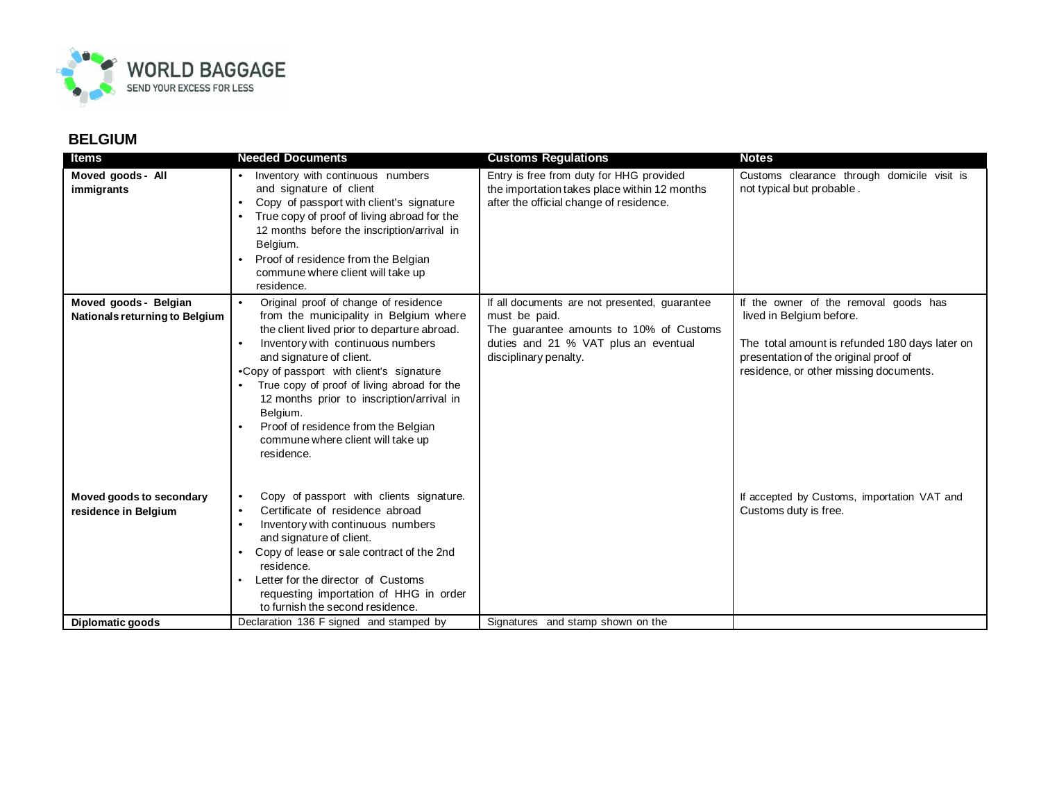

| ltems                                                   | <b>Needed Documents</b>                                                                                                                                                                                                                                                                                                                                                                                                                                                  | <b>Customs Regulations</b>                                                                                                                                                 | <b>Notes</b>                                                                                                                                                                                           |
|---------------------------------------------------------|--------------------------------------------------------------------------------------------------------------------------------------------------------------------------------------------------------------------------------------------------------------------------------------------------------------------------------------------------------------------------------------------------------------------------------------------------------------------------|----------------------------------------------------------------------------------------------------------------------------------------------------------------------------|--------------------------------------------------------------------------------------------------------------------------------------------------------------------------------------------------------|
| Moved goods - All<br>immigrants                         | Inventory with continuous numbers<br>and signature of client<br>Copy of passport with client's signature<br>$\bullet$<br>True copy of proof of living abroad for the<br>12 months before the inscription/arrival in<br>Belgium.<br>Proof of residence from the Belgian<br>commune where client will take up<br>residence.                                                                                                                                                | Entry is free from duty for HHG provided<br>the importation takes place within 12 months<br>after the official change of residence.                                        | Customs clearance through domicile visit is<br>not typical but probable.                                                                                                                               |
| Moved goods - Belgian<br>Nationals returning to Belgium | Original proof of change of residence<br>$\bullet$<br>from the municipality in Belgium where<br>the client lived prior to departure abroad.<br>Inventory with continuous numbers<br>and signature of client.<br>.Copy of passport with client's signature<br>True copy of proof of living abroad for the<br>$\bullet$<br>12 months prior to inscription/arrival in<br>Belgium.<br>Proof of residence from the Belgian<br>commune where client will take up<br>residence. | If all documents are not presented, guarantee<br>must be paid.<br>The guarantee amounts to 10% of Customs<br>duties and 21 % VAT plus an eventual<br>disciplinary penalty. | If the owner of the removal goods has<br>lived in Belgium before.<br>The total amount is refunded 180 days later on<br>presentation of the original proof of<br>residence, or other missing documents. |
| Moved goods to secondary<br>residence in Belgium        | Copy of passport with clients signature.<br>$\bullet$<br>Certificate of residence abroad<br>$\bullet$<br>Inventory with continuous numbers<br>$\bullet$<br>and signature of client.<br>Copy of lease or sale contract of the 2nd<br>residence.<br>Letter for the director of Customs<br>requesting importation of HHG in order<br>to furnish the second residence.                                                                                                       |                                                                                                                                                                            | If accepted by Customs, importation VAT and<br>Customs duty is free.                                                                                                                                   |
| Diplomatic goods                                        | Declaration 136 F signed and stamped by                                                                                                                                                                                                                                                                                                                                                                                                                                  | Signatures and stamp shown on the                                                                                                                                          |                                                                                                                                                                                                        |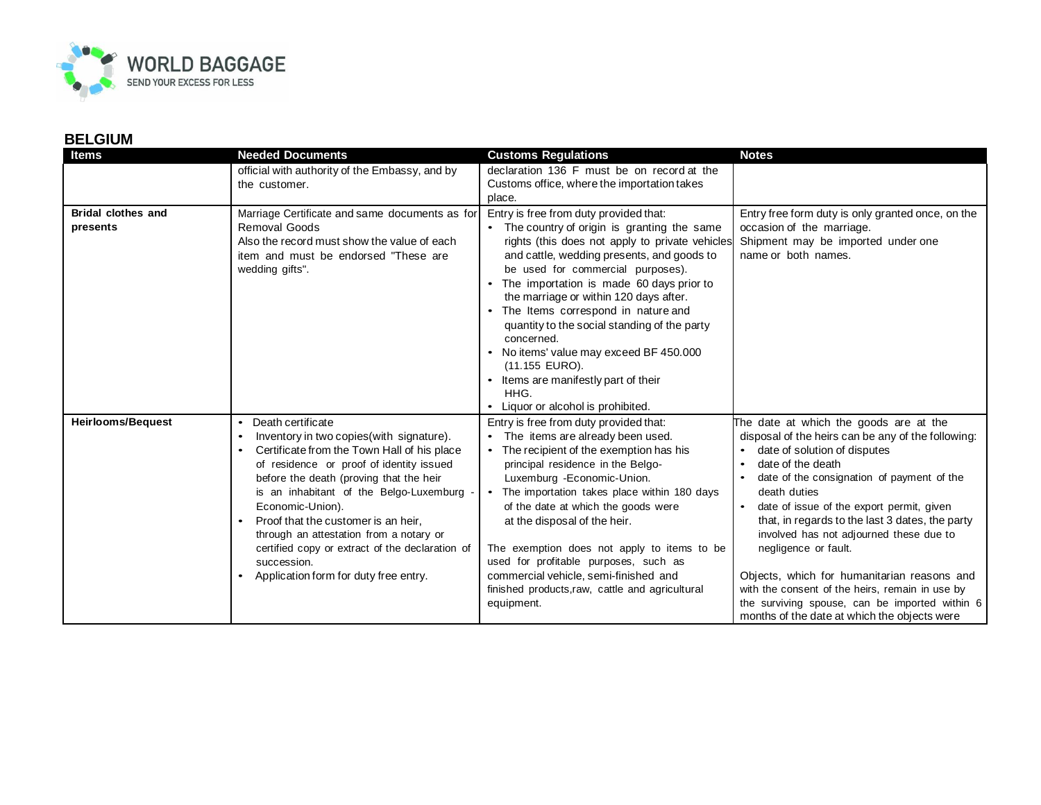

| <b>Items</b>                          | <b>Needed Documents</b>                                                                                                                                                                                                                                                                                                                                                                                                                                                                                | <b>Customs Regulations</b>                                                                                                                                                                                                                                                                                                                                                                                                                                                                                                                                                | <b>Notes</b>                                                                                                                                                                                                                                                                                                                                                                                                                                                                                                                                                                           |
|---------------------------------------|--------------------------------------------------------------------------------------------------------------------------------------------------------------------------------------------------------------------------------------------------------------------------------------------------------------------------------------------------------------------------------------------------------------------------------------------------------------------------------------------------------|---------------------------------------------------------------------------------------------------------------------------------------------------------------------------------------------------------------------------------------------------------------------------------------------------------------------------------------------------------------------------------------------------------------------------------------------------------------------------------------------------------------------------------------------------------------------------|----------------------------------------------------------------------------------------------------------------------------------------------------------------------------------------------------------------------------------------------------------------------------------------------------------------------------------------------------------------------------------------------------------------------------------------------------------------------------------------------------------------------------------------------------------------------------------------|
|                                       | official with authority of the Embassy, and by<br>the customer.                                                                                                                                                                                                                                                                                                                                                                                                                                        | declaration 136 F must be on record at the<br>Customs office, where the importation takes<br>place.                                                                                                                                                                                                                                                                                                                                                                                                                                                                       |                                                                                                                                                                                                                                                                                                                                                                                                                                                                                                                                                                                        |
| <b>Bridal clothes and</b><br>presents | Marriage Certificate and same documents as for<br>Removal Goods<br>Also the record must show the value of each<br>item and must be endorsed "These are<br>wedding gifts".                                                                                                                                                                                                                                                                                                                              | Entry is free from duty provided that:<br>• The country of origin is granting the same<br>rights (this does not apply to private vehicles<br>and cattle, wedding presents, and goods to<br>be used for commercial purposes).<br>The importation is made 60 days prior to<br>the marriage or within 120 days after.<br>• The Items correspond in nature and<br>quantity to the social standing of the party<br>concerned.<br>No items' value may exceed BF 450.000<br>(11.155 EURO).<br>• Items are manifestly part of their<br>HHG.<br>• Liquor or alcohol is prohibited. | Entry free form duty is only granted once, on the<br>occasion of the marriage.<br>Shipment may be imported under one<br>name or both names.                                                                                                                                                                                                                                                                                                                                                                                                                                            |
| <b>Heirlooms/Bequest</b>              | Death certificate<br>$\bullet$<br>Inventory in two copies(with signature).<br>Certificate from the Town Hall of his place<br>$\bullet$<br>of residence or proof of identity issued<br>before the death (proving that the heir<br>is an inhabitant of the Belgo-Luxemburg<br>Economic-Union).<br>Proof that the customer is an heir.<br>$\bullet$<br>through an attestation from a notary or<br>certified copy or extract of the declaration of<br>succession.<br>Application form for duty free entry. | Entry is free from duty provided that:<br>• The items are already been used.<br>• The recipient of the exemption has his<br>principal residence in the Belgo-<br>Luxemburg - Economic-Union.<br>The importation takes place within 180 days<br>of the date at which the goods were<br>at the disposal of the heir.<br>The exemption does not apply to items to be<br>used for profitable purposes, such as<br>commercial vehicle, semi-finished and<br>finished products, raw, cattle and agricultural<br>equipment.                                                      | The date at which the goods are at the<br>disposal of the heirs can be any of the following:<br>date of solution of disputes<br>date of the death<br>date of the consignation of payment of the<br>death duties<br>date of issue of the export permit, given<br>that, in regards to the last 3 dates, the party<br>involved has not adjourned these due to<br>negligence or fault.<br>Objects, which for humanitarian reasons and<br>with the consent of the heirs, remain in use by<br>the surviving spouse, can be imported within 6<br>months of the date at which the objects were |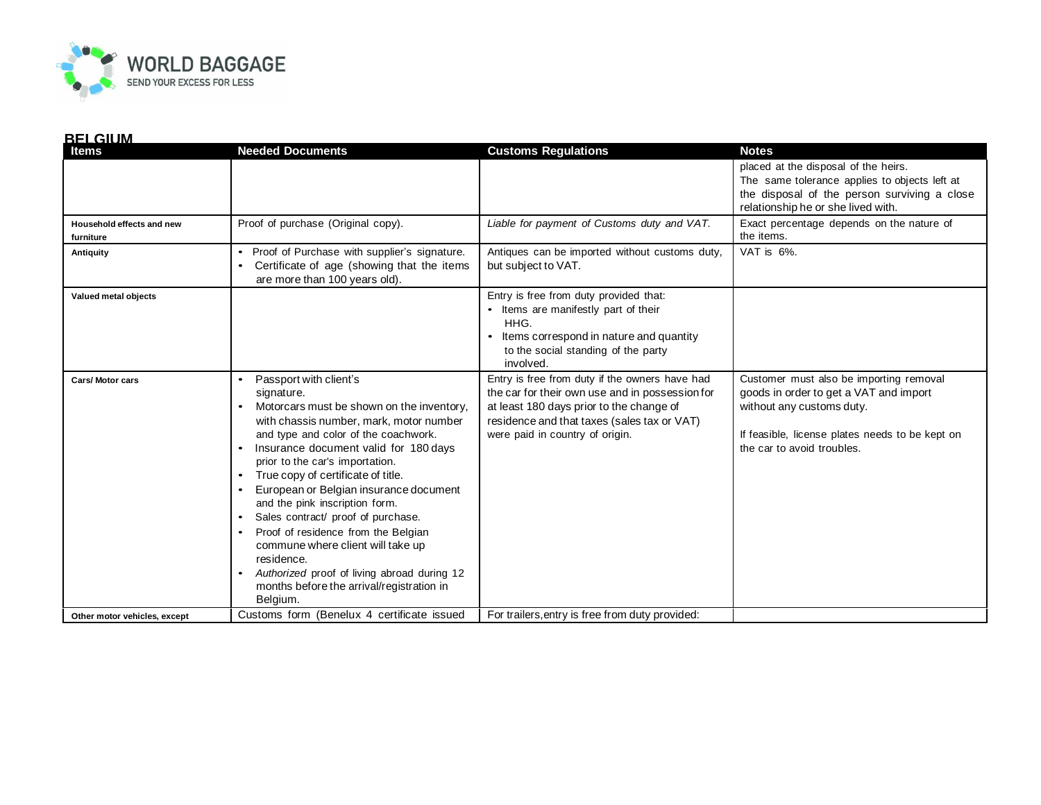

| <b>Items</b>                           | <b>Needed Documents</b>                                                                                                                                                                                                                                                                                                                                                                                                                                                                                                                                                                                                                                                     | <b>Customs Regulations</b>                                                                                                                                                                                                      | <b>Notes</b>                                                                                                                                                                                    |
|----------------------------------------|-----------------------------------------------------------------------------------------------------------------------------------------------------------------------------------------------------------------------------------------------------------------------------------------------------------------------------------------------------------------------------------------------------------------------------------------------------------------------------------------------------------------------------------------------------------------------------------------------------------------------------------------------------------------------------|---------------------------------------------------------------------------------------------------------------------------------------------------------------------------------------------------------------------------------|-------------------------------------------------------------------------------------------------------------------------------------------------------------------------------------------------|
|                                        |                                                                                                                                                                                                                                                                                                                                                                                                                                                                                                                                                                                                                                                                             |                                                                                                                                                                                                                                 | placed at the disposal of the heirs.<br>The same tolerance applies to objects left at<br>the disposal of the person surviving a close<br>relationship he or she lived with.                     |
| Household effects and new<br>furniture | Proof of purchase (Original copy).                                                                                                                                                                                                                                                                                                                                                                                                                                                                                                                                                                                                                                          | Liable for payment of Customs duty and VAT.                                                                                                                                                                                     | Exact percentage depends on the nature of<br>the items.                                                                                                                                         |
| Antiquity                              | Proof of Purchase with supplier's signature.<br>$\bullet$<br>Certificate of age (showing that the items<br>are more than 100 years old).                                                                                                                                                                                                                                                                                                                                                                                                                                                                                                                                    | Antiques can be imported without customs duty,<br>but subject to VAT.                                                                                                                                                           | VAT is 6%.                                                                                                                                                                                      |
| Valued metal objects                   |                                                                                                                                                                                                                                                                                                                                                                                                                                                                                                                                                                                                                                                                             | Entry is free from duty provided that:<br>• Items are manifestly part of their<br>HHG.<br>Items correspond in nature and quantity<br>to the social standing of the party<br>involved.                                           |                                                                                                                                                                                                 |
| <b>Cars/Motor cars</b>                 | Passport with client's<br>$\bullet$<br>signature.<br>Motorcars must be shown on the inventory,<br>with chassis number, mark, motor number<br>and type and color of the coachwork.<br>Insurance document valid for 180 days<br>$\bullet$<br>prior to the car's importation.<br>True copy of certificate of title.<br>$\bullet$<br>European or Belgian insurance document<br>and the pink inscription form.<br>Sales contract/ proof of purchase.<br>$\bullet$<br>Proof of residence from the Belgian<br>$\bullet$<br>commune where client will take up<br>residence.<br>Authorized proof of living abroad during 12<br>months before the arrival/registration in<br>Belgium. | Entry is free from duty if the owners have had<br>the car for their own use and in possession for<br>at least 180 days prior to the change of<br>residence and that taxes (sales tax or VAT)<br>were paid in country of origin. | Customer must also be importing removal<br>goods in order to get a VAT and import<br>without any customs duty.<br>If feasible, license plates needs to be kept on<br>the car to avoid troubles. |
| Other motor vehicles, except           | Customs form (Benelux 4 certificate issued                                                                                                                                                                                                                                                                                                                                                                                                                                                                                                                                                                                                                                  | For trailers, entry is free from duty provided:                                                                                                                                                                                 |                                                                                                                                                                                                 |